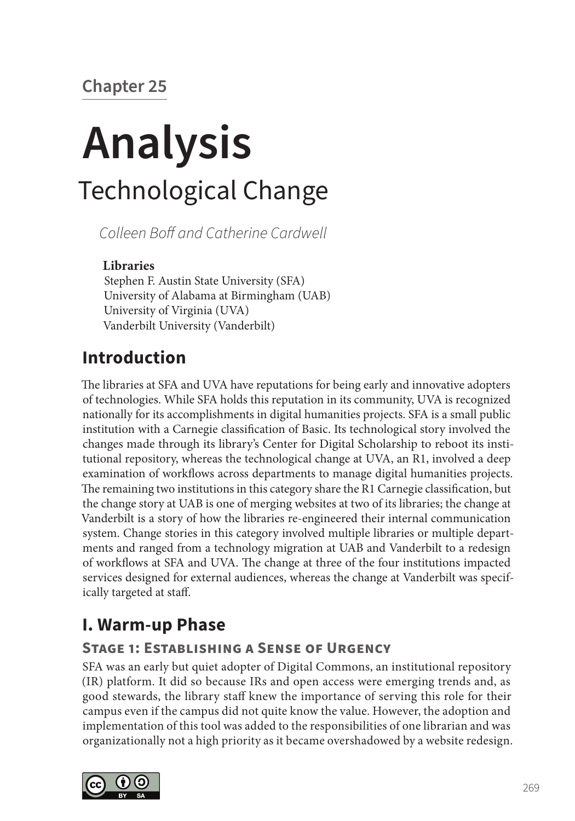# **Chapter 25**

# **Analysis** Technological Change

*Colleen Boff and Catherine Cardwell*

## **Libraries**

Stephen F. Austin State University (SFA) University of Alabama at Birmingham (UAB) University of Virginia (UVA) Vanderbilt University (Vanderbilt)

## **Introduction**

The libraries at SFA and UVA have reputations for being early and innovative adopters of technologies. While SFA holds this reputation in its community, UVA is recognized nationally for its accomplishments in digital humanities projects. SFA is a small public institution with a Carnegie classification of Basic. Its technological story involved the changes made through its library's Center for Digital Scholarship to reboot its institutional repository, whereas the technological change at UVA, an R1, involved a deep examination of workflows across departments to manage digital humanities projects. The remaining two institutions in this category share the R1 Carnegie classification, but the change story at UAB is one of merging websites at two of its libraries; the change at Vanderbilt is a story of how the libraries re-engineered their internal communication system. Change stories in this category involved multiple libraries or multiple departments and ranged from a technology migration at UAB and Vanderbilt to a redesign of workflows at SFA and UVA. The change at three of the four institutions impacted services designed for external audiences, whereas the change at Vanderbilt was specifically targeted at staff.

# **I. Warm-up Phase**

## **Stage 1: Establishing a Sense of Urgency**

SFA was an early but quiet adopter of Digital Commons, an institutional repository (IR) platform. It did so because IRs and open access were emerging trends and, as good stewards, the library staff knew the importance of serving this role for their campus even if the campus did not quite know the value. However, the adoption and implementation of this tool was added to the responsibilities of one librarian and was organizationally not a high priority as it became overshadowed by a website redesign.

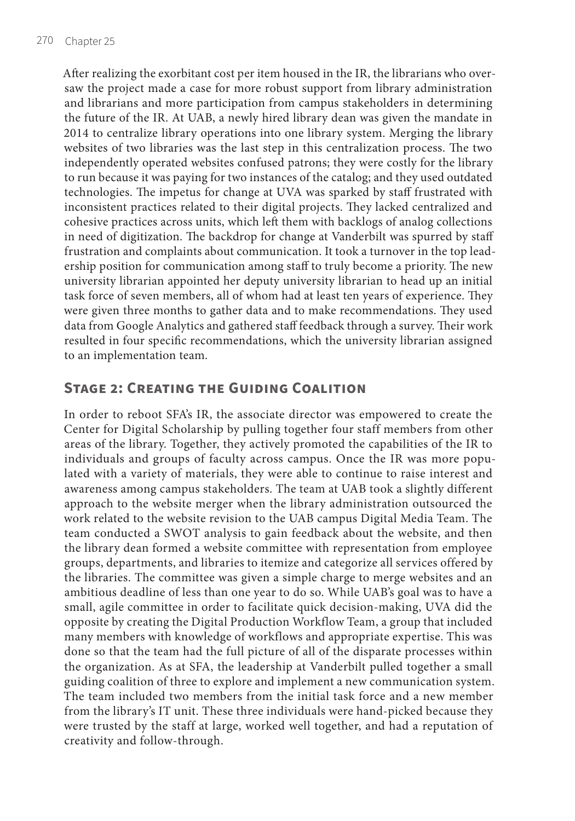After realizing the exorbitant cost per item housed in the IR, the librarians who oversaw the project made a case for more robust support from library administration and librarians and more participation from campus stakeholders in determining the future of the IR. At UAB, a newly hired library dean was given the mandate in 2014 to centralize library operations into one library system. Merging the library websites of two libraries was the last step in this centralization process. The two independently operated websites confused patrons; they were costly for the library to run because it was paying for two instances of the catalog; and they used outdated technologies. The impetus for change at UVA was sparked by staff frustrated with inconsistent practices related to their digital projects. They lacked centralized and cohesive practices across units, which left them with backlogs of analog collections in need of digitization. The backdrop for change at Vanderbilt was spurred by staff frustration and complaints about communication. It took a turnover in the top leadership position for communication among staff to truly become a priority. The new university librarian appointed her deputy university librarian to head up an initial task force of seven members, all of whom had at least ten years of experience. They were given three months to gather data and to make recommendations. They used data from Google Analytics and gathered staff feedback through a survey. Their work resulted in four specific recommendations, which the university librarian assigned to an implementation team.

## **Stage 2: Creating the Guiding Coalition**

In order to reboot SFA's IR, the associate director was empowered to create the Center for Digital Scholarship by pulling together four staff members from other areas of the library. Together, they actively promoted the capabilities of the IR to individuals and groups of faculty across campus. Once the IR was more populated with a variety of materials, they were able to continue to raise interest and awareness among campus stakeholders. The team at UAB took a slightly different approach to the website merger when the library administration outsourced the work related to the website revision to the UAB campus Digital Media Team. The team conducted a SWOT analysis to gain feedback about the website, and then the library dean formed a website committee with representation from employee groups, departments, and libraries to itemize and categorize all services offered by the libraries. The committee was given a simple charge to merge websites and an ambitious deadline of less than one year to do so. While UAB's goal was to have a small, agile committee in order to facilitate quick decision-making, UVA did the opposite by creating the Digital Production Workflow Team, a group that included many members with knowledge of workflows and appropriate expertise. This was done so that the team had the full picture of all of the disparate processes within the organization. As at SFA, the leadership at Vanderbilt pulled together a small guiding coalition of three to explore and implement a new communication system. The team included two members from the initial task force and a new member from the library's IT unit. These three individuals were hand-picked because they were trusted by the staff at large, worked well together, and had a reputation of creativity and follow-through.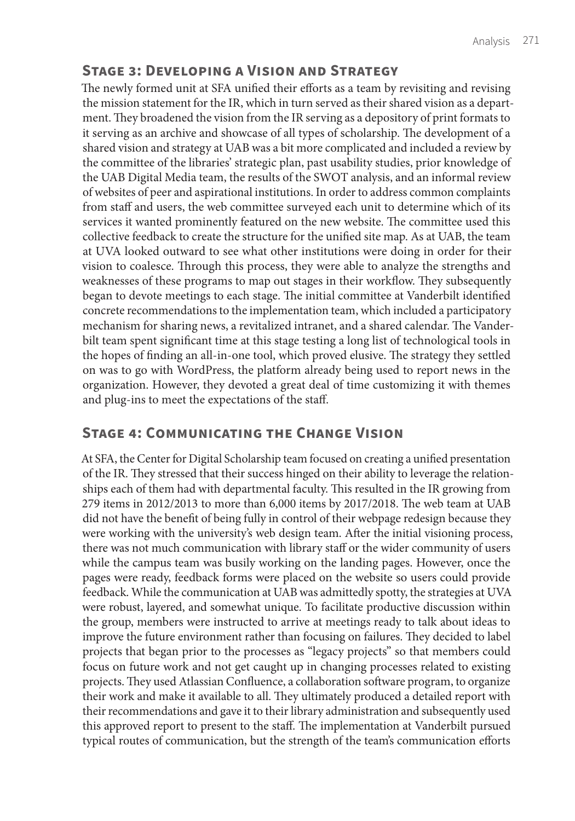## **Stage 3: Developing a Vision and Strategy**

The newly formed unit at SFA unified their efforts as a team by revisiting and revising the mission statement for the IR, which in turn served as their shared vision as a department. They broadened the vision from the IR serving as a depository of print formats to it serving as an archive and showcase of all types of scholarship. The development of a shared vision and strategy at UAB was a bit more complicated and included a review by the committee of the libraries' strategic plan, past usability studies, prior knowledge of the UAB Digital Media team, the results of the SWOT analysis, and an informal review of websites of peer and aspirational institutions. In order to address common complaints from staff and users, the web committee surveyed each unit to determine which of its services it wanted prominently featured on the new website. The committee used this collective feedback to create the structure for the unified site map. As at UAB, the team at UVA looked outward to see what other institutions were doing in order for their vision to coalesce. Through this process, they were able to analyze the strengths and weaknesses of these programs to map out stages in their workflow. They subsequently began to devote meetings to each stage. The initial committee at Vanderbilt identified concrete recommendations to the implementation team, which included a participatory mechanism for sharing news, a revitalized intranet, and a shared calendar. The Vanderbilt team spent significant time at this stage testing a long list of technological tools in the hopes of finding an all-in-one tool, which proved elusive. The strategy they settled on was to go with WordPress, the platform already being used to report news in the organization. However, they devoted a great deal of time customizing it with themes and plug-ins to meet the expectations of the staff.

## **Stage 4: Communicating the Change Vision**

At SFA, the Center for Digital Scholarship team focused on creating a unified presentation of the IR. They stressed that their success hinged on their ability to leverage the relationships each of them had with departmental faculty. This resulted in the IR growing from 279 items in 2012/2013 to more than 6,000 items by 2017/2018. The web team at UAB did not have the benefit of being fully in control of their webpage redesign because they were working with the university's web design team. After the initial visioning process, there was not much communication with library staff or the wider community of users while the campus team was busily working on the landing pages. However, once the pages were ready, feedback forms were placed on the website so users could provide feedback. While the communication at UAB was admittedly spotty, the strategies at UVA were robust, layered, and somewhat unique. To facilitate productive discussion within the group, members were instructed to arrive at meetings ready to talk about ideas to improve the future environment rather than focusing on failures. They decided to label projects that began prior to the processes as "legacy projects" so that members could focus on future work and not get caught up in changing processes related to existing projects. They used Atlassian Confluence, a collaboration software program, to organize their work and make it available to all. They ultimately produced a detailed report with their recommendations and gave it to their library administration and subsequently used this approved report to present to the staff. The implementation at Vanderbilt pursued typical routes of communication, but the strength of the team's communication efforts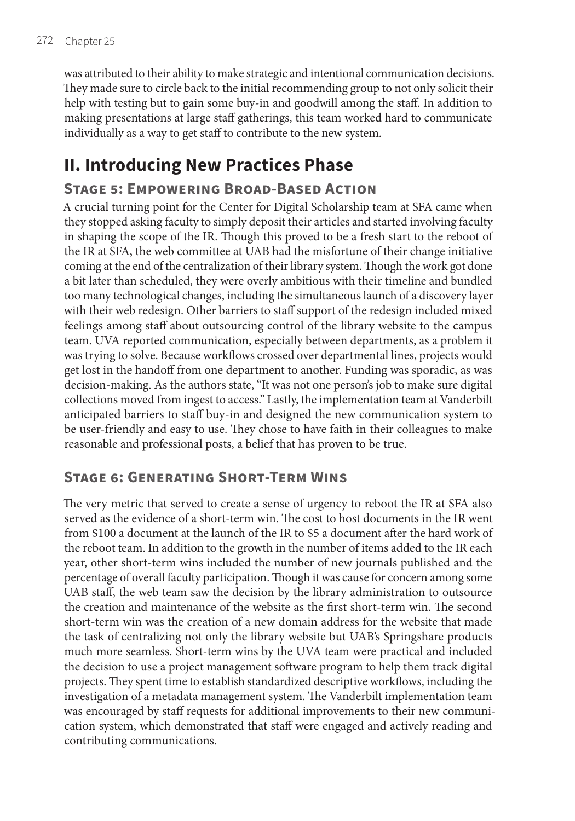was attributed to their ability to make strategic and intentional communication decisions. They made sure to circle back to the initial recommending group to not only solicit their help with testing but to gain some buy-in and goodwill among the staff. In addition to making presentations at large staff gatherings, this team worked hard to communicate individually as a way to get staff to contribute to the new system.

## **II. Introducing New Practices Phase**

#### **Stage 5: Empowering Broad-Based Action**

A crucial turning point for the Center for Digital Scholarship team at SFA came when they stopped asking faculty to simply deposit their articles and started involving faculty in shaping the scope of the IR. Though this proved to be a fresh start to the reboot of the IR at SFA, the web committee at UAB had the misfortune of their change initiative coming at the end of the centralization of their library system. Though the work got done a bit later than scheduled, they were overly ambitious with their timeline and bundled too many technological changes, including the simultaneous launch of a discovery layer with their web redesign. Other barriers to staff support of the redesign included mixed feelings among staff about outsourcing control of the library website to the campus team. UVA reported communication, especially between departments, as a problem it was trying to solve. Because workflows crossed over departmental lines, projects would get lost in the handoff from one department to another. Funding was sporadic, as was decision-making. As the authors state, "It was not one person's job to make sure digital collections moved from ingest to access." Lastly, the implementation team at Vanderbilt anticipated barriers to staff buy-in and designed the new communication system to be user-friendly and easy to use. They chose to have faith in their colleagues to make reasonable and professional posts, a belief that has proven to be true.

#### **Stage 6: Generating Short-Term Wins**

The very metric that served to create a sense of urgency to reboot the IR at SFA also served as the evidence of a short-term win. The cost to host documents in the IR went from \$100 a document at the launch of the IR to \$5 a document after the hard work of the reboot team. In addition to the growth in the number of items added to the IR each year, other short-term wins included the number of new journals published and the percentage of overall faculty participation. Though it was cause for concern among some UAB staff, the web team saw the decision by the library administration to outsource the creation and maintenance of the website as the first short-term win. The second short-term win was the creation of a new domain address for the website that made the task of centralizing not only the library website but UAB's Springshare products much more seamless. Short-term wins by the UVA team were practical and included the decision to use a project management software program to help them track digital projects. They spent time to establish standardized descriptive workflows, including the investigation of a metadata management system. The Vanderbilt implementation team was encouraged by staff requests for additional improvements to their new communication system, which demonstrated that staff were engaged and actively reading and contributing communications.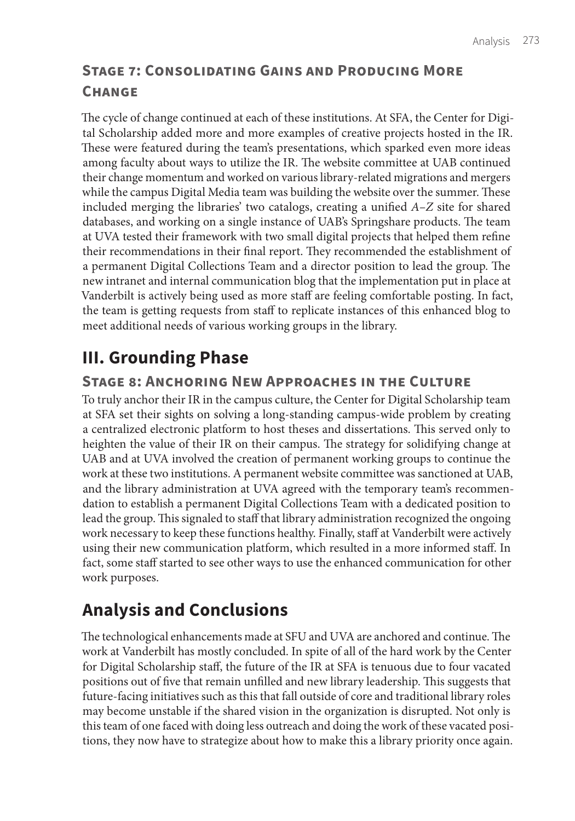## **Stage 7: Consolidating Gains and Producing More Change**

The cycle of change continued at each of these institutions. At SFA, the Center for Digital Scholarship added more and more examples of creative projects hosted in the IR. These were featured during the team's presentations, which sparked even more ideas among faculty about ways to utilize the IR. The website committee at UAB continued their change momentum and worked on various library-related migrations and mergers while the campus Digital Media team was building the website over the summer. These included merging the libraries' two catalogs, creating a unified *A–Z* site for shared databases, and working on a single instance of UAB's Springshare products. The team at UVA tested their framework with two small digital projects that helped them refine their recommendations in their final report. They recommended the establishment of a permanent Digital Collections Team and a director position to lead the group. The new intranet and internal communication blog that the implementation put in place at Vanderbilt is actively being used as more staff are feeling comfortable posting. In fact, the team is getting requests from staff to replicate instances of this enhanced blog to meet additional needs of various working groups in the library.

## **III. Grounding Phase**

#### **Stage 8: Anchoring New Approaches in the Culture**

To truly anchor their IR in the campus culture, the Center for Digital Scholarship team at SFA set their sights on solving a long-standing campus-wide problem by creating a centralized electronic platform to host theses and dissertations. This served only to heighten the value of their IR on their campus. The strategy for solidifying change at UAB and at UVA involved the creation of permanent working groups to continue the work at these two institutions. A permanent website committee was sanctioned at UAB, and the library administration at UVA agreed with the temporary team's recommendation to establish a permanent Digital Collections Team with a dedicated position to lead the group. This signaled to staff that library administration recognized the ongoing work necessary to keep these functions healthy. Finally, staff at Vanderbilt were actively using their new communication platform, which resulted in a more informed staff. In fact, some staff started to see other ways to use the enhanced communication for other work purposes.

## **Analysis and Conclusions**

The technological enhancements made at SFU and UVA are anchored and continue. The work at Vanderbilt has mostly concluded. In spite of all of the hard work by the Center for Digital Scholarship staff, the future of the IR at SFA is tenuous due to four vacated positions out of five that remain unfilled and new library leadership. This suggests that future-facing initiatives such as this that fall outside of core and traditional library roles may become unstable if the shared vision in the organization is disrupted. Not only is this team of one faced with doing less outreach and doing the work of these vacated positions, they now have to strategize about how to make this a library priority once again.